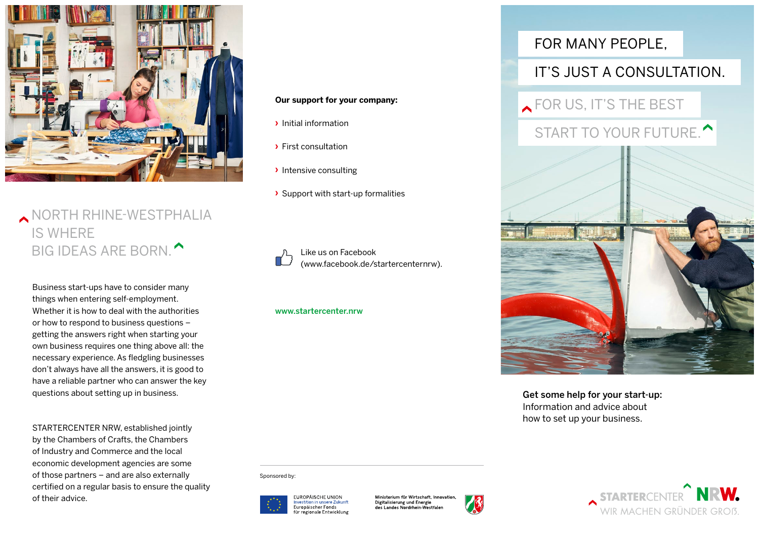

# NORTH RHINE-WESTPHALIA IS WHERE BIG IDEAS ARE BORN.

Business start-ups have to consider many things when entering self-employment. Whether it is how to deal with the authorities or how to respond to business questions – getting the answers right when starting your own business requires one thing above all: the necessary experience. As fledgling businesses don't always have all the answers, it is good to have a reliable partner who can answer the key questions about setting up in business.

STARTERCENTER NRW, established jointly by the Chambers of Crafts, the Chambers of Industry and Commerce and the local economic development agencies are some of those partners – and are also externally certified on a regular basis to ensure the quality of their advice.

## **Our support for your company:**

- **›** Initial information
- **›** First consultation
- **›** Intensive consulting
- **›** Support with start-up formalities

Like us on Facebook (www.facebook.de/startercenternrw).

## www.startercenter.nrw

Sponsored by:



Ministerium für Wirtschaft, Innovation Digitalisierung und Energie des Landes Nordrhein Westfaler



## FOR MANY PEOPLE,

## IT'S JUST A CONSULTATION.

**FOR US, IT'S THE BEST** 

# START TO YOUR FUTURE.



Get some help for your start-up: Information and advice about how to set up your business.